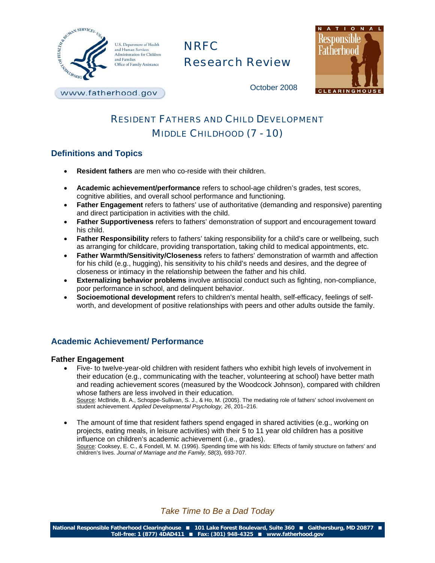

U.S. Department of Health and Human Services Administration for Children and Families Office of Family Assistance

# NRFC Research Review



October 2008

www.fatherhood.gov

## RESIDENT FATHERS AND CHILD DEVELOPMENT MIDDLE CHILDHOOD (7 - 10)

## **Definitions and Topics**

- **Resident fathers** are men who co-reside with their children.
- **Academic achievement/performance** refers to school-age children's grades, test scores, cognitive abilities, and overall school performance and functioning.
- **Father Engagement** refers to fathers' use of authoritative (demanding and responsive) parenting and direct participation in activities with the child.
- **Father Supportiveness** refers to fathers' demonstration of support and encouragement toward his child.
- **Father Responsibility** refers to fathers' taking responsibility for a child's care or wellbeing, such as arranging for childcare, providing transportation, taking child to medical appointments, etc.
- **Father Warmth/Sensitivity/Closeness** refers to fathers' demonstration of warmth and affection for his child (e.g., hugging), his sensitivity to his child's needs and desires, and the degree of closeness or intimacy in the relationship between the father and his child.
- **Externalizing behavior problems** involve antisocial conduct such as fighting, non-compliance, poor performance in school, and delinquent behavior.
- **Socioemotional development** refers to children's mental health, self-efficacy, feelings of selfworth, and development of positive relationships with peers and other adults outside the family.

## **Academic Achievement/ Performance**

#### **Father Engagement**

- Five- to twelve-year-old children with resident fathers who exhibit high levels of involvement in their education (e.g., communicating with the teacher, volunteering at school) have better math and reading achievement scores (measured by the Woodcock Johnson), compared with children whose fathers are less involved in their education Source: McBride, B. A., Schoppe-Sullivan, S. J., & Ho, M. (2005). The mediating role of fathers' school involvement on student achievement. *Applied Developmental Psychology, 26*, 201–216.
- The amount of time that resident fathers spend engaged in shared activities (e.g., working on projects, eating meals, in leisure activities) with their 5 to 11 year old children has a positive influence on children's academic achievement (i.e., grades). Source: Cooksey, E. C., & Fondell, M. M. (1996). Spending time with his kids: Effects of family structure on fathers' and children's lives. *Journal of Marriage and the Family, 58*(3), 693-707.

*Take Time to Be a Dad Today*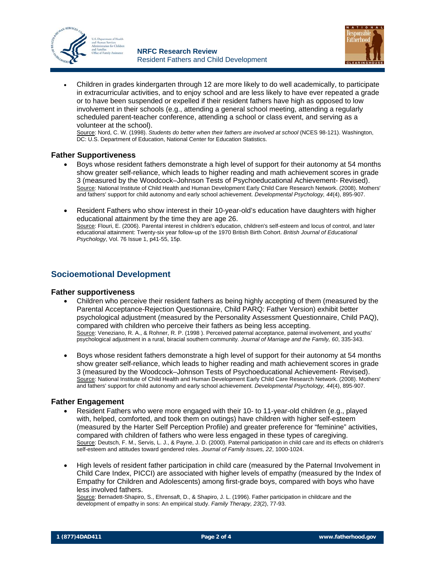



• Children in grades kindergarten through 12 are more likely to do well academically, to participate in extracurricular activities, and to enjoy school and are less likely to have ever repeated a grade or to have been suspended or expelled if their resident fathers have high as opposed to low involvement in their schools (e.g., attending a general school meeting, attending a regularly scheduled parent-teacher conference, attending a school or class event, and serving as a volunteer at the school).

Source: Nord, C. W. (1998). *Students do better when their fathers are involved at school* (NCES 98-121). Washington, DC: U.S. Department of Education, National Center for Education Statistics.

#### **Father Supportiveness**

- Boys whose resident fathers demonstrate a high level of support for their autonomy at 54 months show greater self-reliance, which leads to higher reading and math achievement scores in grade 3 (measured by the Woodcock–Johnson Tests of Psychoeducational Achievement- Revised). Source: National Institute of Child Health and Human Development Early Child Care Research Network. (2008). Mothers' and fathers' support for child autonomy and early school achievement. *Developmental Psychology, 44*(4), 895-907.
- Resident Fathers who show interest in their 10-year-old's education have daughters with higher educational attainment by the time they are age 26. Source: Flouri, E. (2006). Parental interest in children's education, children's self-esteem and locus of control, and later educational attainment: Twenty-six year follow-up of the 1970 British Birth Cohort. *British Journal of Educational Psychology*, Vol. 76 Issue 1, p41-55, 15p.

### **Socioemotional Development**

#### **Father supportiveness**

- Children who perceive their resident fathers as being highly accepting of them (measured by the Parental Acceptance-Rejection Questionnaire, Child PARQ: Father Version) exhibit better psychological adjustment (measured by the Personality Assessment Questionnaire, Child PAQ), compared with children who perceive their fathers as being less accepting. Source: Veneziano, R. A., & Rohner, R. P. (1998 ). Perceived paternal acceptance, paternal involvement, and youths' psychological adjustment in a rural, biracial southern community. *Journal of Marriage and the Family, 60*, 335-343.
- Boys whose resident fathers demonstrate a high level of support for their autonomy at 54 months show greater self-reliance, which leads to higher reading and math achievement scores in grade 3 (measured by the Woodcock–Johnson Tests of Psychoeducational Achievement- Revised). Source: National Institute of Child Health and Human Development Early Child Care Research Network. (2008). Mothers' and fathers' support for child autonomy and early school achievement. *Developmental Psychology, 44*(4), 895-907.

#### **Father Engagement**

- Resident Fathers who were more engaged with their 10- to 11-year-old children (e.g., played with, helped, comforted, and took them on outings) have children with higher self-esteem (measured by the Harter Self Perception Profile) and greater preference for "feminine" activities, compared with children of fathers who were less engaged in these types of caregiving. Source: Deutsch, F. M., Servis, L. J., & Payne, J. D. (2000). Paternal participation in child care and its effects on children's self-esteem and attitudes toward gendered roles. *Journal of Family Issues, 22*, 1000-1024.
- High levels of resident father participation in child care (measured by the Paternal Involvement in Child Care Index, PICCI) are associated with higher levels of empathy (measured by the Index of Empathy for Children and Adolescents) among first-grade boys, compared with boys who have less involved fathers.

Source: Bernadett-Shapiro, S., Ehrensaft, D., & Shapiro, J. L. (1996). Father participation in childcare and the development of empathy in sons: An empirical study. *Family Therapy, 23*(2), 77-93.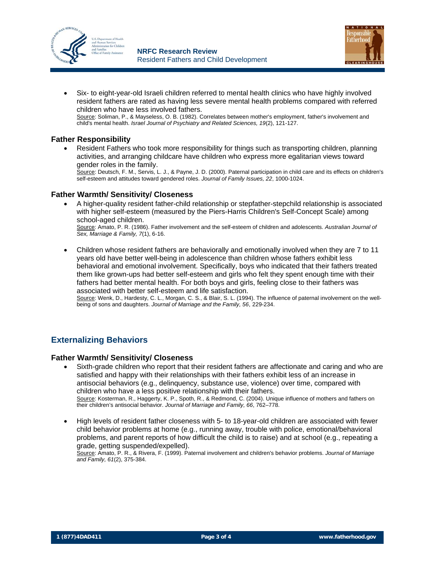



• Six- to eight-year-old Israeli children referred to mental health clinics who have highly involved resident fathers are rated as having less severe mental health problems compared with referred children who have less involved fathers. Source: Soliman, P., & Mayseless, O. B. (1982). Correlates between mother's employment, father's involvement and child's mental health. *Israel Journal of Psychiatry and Related Sciences, 19*(2), 121-127.

#### **Father Responsibility**

• Resident Fathers who took more responsibility for things such as transporting children, planning activities, and arranging childcare have children who express more egalitarian views toward gender roles in the family.

Source: Deutsch, F. M., Servis, L. J., & Payne, J. D. (2000). Paternal participation in child care and its effects on children's self-esteem and attitudes toward gendered roles. *Journal of Family Issues, 22*, 1000-1024.

#### **Father Warmth/ Sensitivity/ Closeness**

• A higher-quality resident father-child relationship or stepfather-stepchild relationship is associated with higher self-esteem (measured by the Piers-Harris Children's Self-Concept Scale) among school-aged children.

Source: Amato, P. R. (1986). Father involvement and the self-esteem of children and adolescents. *Australian Journal of Sex, Marriage & Family, 7*(1), 6-16.

• Children whose resident fathers are behaviorally and emotionally involved when they are 7 to 11 years old have better well-being in adolescence than children whose fathers exhibit less behavioral and emotional involvement. Specifically, boys who indicated that their fathers treated them like grown-ups had better self-esteem and girls who felt they spent enough time with their fathers had better mental health. For both boys and girls, feeling close to their fathers was associated with better self-esteem and life satisfaction.

Source: Wenk, D., Hardesty, C. L., Morgan, C. S., & Blair, S. L. (1994). The influence of paternal involvement on the wellbeing of sons and daughters. *Journal of Marriage and the Family, 56*, 229-234.

## **Externalizing Behaviors**

#### **Father Warmth/ Sensitivity/ Closeness**

- Sixth-grade children who report that their resident fathers are affectionate and caring and who are satisfied and happy with their relationships with their fathers exhibit less of an increase in antisocial behaviors (e.g., delinquency, substance use, violence) over time, compared with children who have a less positive relationship with their fathers. Source: Kosterman, R., Haggerty, K. P., Spoth, R., & Redmond, C. (2004). Unique influence of mothers and fathers on their children's antisocial behavior. *Journal of Marriage and Family, 66*, 762–778.
- High levels of resident father closeness with 5- to 18-year-old children are associated with fewer child behavior problems at home (e.g., running away, trouble with police, emotional/behavioral problems, and parent reports of how difficult the child is to raise) and at school (e.g., repeating a grade, getting suspended/expelled).

Source: Amato, P. R., & Rivera, F. (1999). Paternal involvement and children's behavior problems. *Journal of Marriage and Family, 61*(2), 375-384.